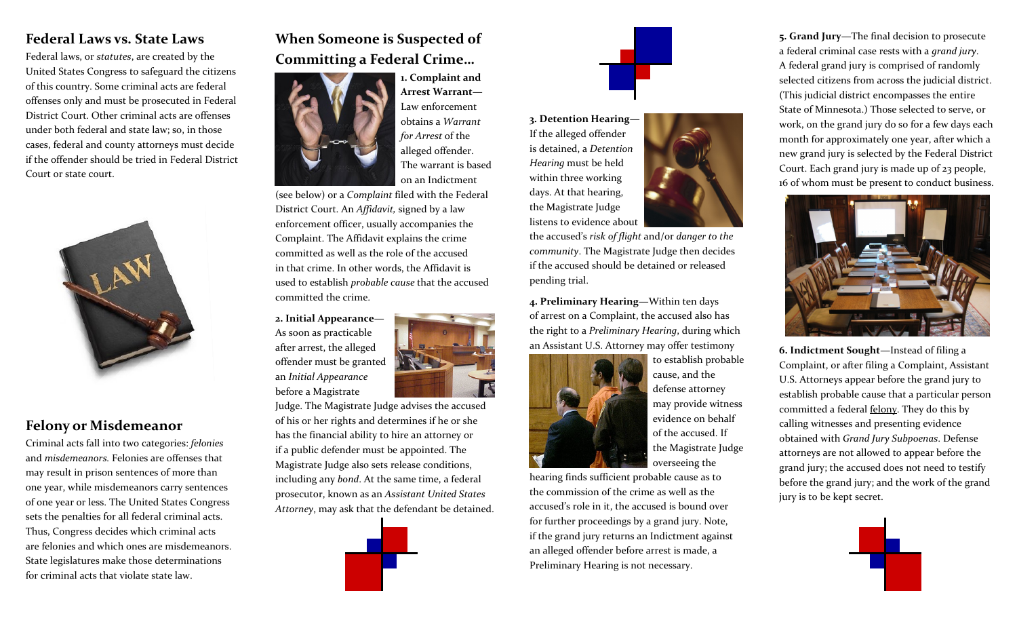## **Federal Laws vs. State Laws**

Federal laws, or *statutes*, are created by the United States Congress to safeguard the citizens of this country. Some criminal acts are federal offenses only and must be prosecuted in Federal District Court. Other criminal acts are offenses under both federal and state law; so, in those cases, federal and county attorneys must decide if the offender should be tried in Federal District Court or state court.



## **Felony or Misdemeanor**

Criminal acts fall into two categories: *felonies* and *misdemeanors.* Felonies are offenses that may result in prison sentences of more than one year, while misdemeanors carry sentences of one year or less. The United States Congress sets the penalties for all federal criminal acts. Thus, Congress decides which criminal acts are felonies and which ones are misdemeanors. State legislatures make those determinations for criminal acts that violate state law.

## **When Someone is Suspected of Committing a Federal Crime…**



**1. Complaint and Arrest Warrant—** Law enforcement obtains a *Warrant for Arrest* of the alleged offender. The warrant is based on an Indictment

(see below) or a *Complaint* filed with the Federal District Court. An *Affidavit,* signed by a law enforcement officer, usually accompanies the Complaint. The Affidavit explains the crime committed as well as the role of the accused in that crime. In other words, the Affidavit is used to establish *probable cause* that the accused committed the crime.

**2. Initial Appearance—** As soon as practicable after arrest, the alleged offender must be granted an *Initial Appearance*  before a Magistrate



Judge. The Magistrate Judge advises the accused of his or her rights and determines if he or she has the financial ability to hire an attorney or if a public defender must be appointed. The Magistrate Judge also sets release conditions, including any *bond*. At the same time, a federal prosecutor, known as an *Assistant United States Attorney*, may ask that the defendant be detained.





**3. Detention Hearing—** If the alleged offender is detained, a *Detention Hearing* must be held within three working days. At that hearing, the Magistrate Judge listens to evidence about



**4. Preliminary Hearing—**Within ten days of arrest on a Complaint, the accused also has the right to a *Preliminary Hearing*, during which an Assistant U.S. Attorney may offer testimony



to establish probable cause, and the defense attorney may provide witness evidence on behalf of the accused. If the Magistrate Judge overseeing the

hearing finds sufficient probable cause as to the commission of the crime as well as the accused's role in it, the accused is bound over for further proceedings by a grand jury. Note, if the grand jury returns an Indictment against an alleged offender before arrest is made, a Preliminary Hearing is not necessary.

**5. Grand Jury—**The final decision to prosecute a federal criminal case rests with a *grand jury*. A federal grand jury is comprised of randomly selected citizens from across the judicial district. (This judicial district encompasses the entire State of Minnesota.) Those selected to serve, or work, on the grand jury do so for a few days each month for approximately one year, after which a new grand jury is selected by the Federal District Court. Each grand jury is made up of 23 people, 16 of whom must be present to conduct business.



**6. Indictment Sought—**Instead of filing a Complaint, or after filing a Complaint, Assistant U.S. Attorneys appear before the grand jury to establish probable cause that a particular person committed a federal felony. They do this by calling witnesses and presenting evidence obtained with *Grand Jury Subpoenas*. Defense attorneys are not allowed to appear before the grand jury; the accused does not need to testify before the grand jury; and the work of the grand jury is to be kept secret.